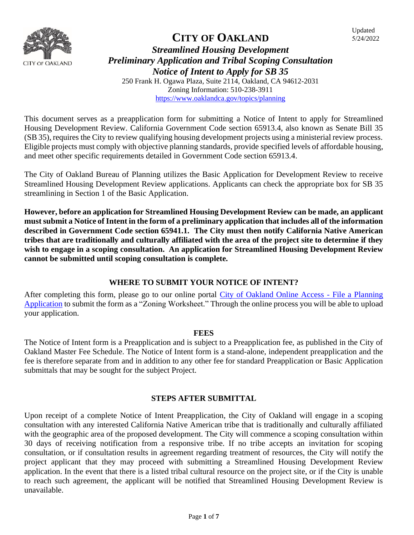

#### **CITY OF OAKLAND** *Streamlined Housing Development Preliminary Application and Tribal Scoping Consultation Notice of Intent to Apply for SB 35* 250 Frank H. Ogawa Plaza, Suite 2114, Oakland, CA 94612-2031 Zoning Information: 510-238-3911 <https://www.oaklandca.gov/topics/planning>

This document serves as a preapplication form for submitting a Notice of Intent to apply for Streamlined Housing Development Review. California Government Code section 65913.4, also known as Senate Bill 35 (SB 35), requires the City to review qualifying housing development projects using a ministerial review process. Eligible projects must comply with objective planning standards, provide specified levels of affordable housing, and meet other specific requirements detailed in Government Code section 65913.4.

The City of Oakland Bureau of Planning utilizes the Basic Application for Development Review to receive Streamlined Housing Development Review applications. Applicants can check the appropriate box for SB 35 streamlining in Section 1 of the Basic Application.

**However, before an application for Streamlined Housing Development Review can be made, an applicant must submit a Notice of Intent in the form of a preliminary application that includes all of the information described in Government Code section 65941.1. The City must then notify California Native American tribes that are traditionally and culturally affiliated with the area of the project site to determine if they wish to engage in a scoping consultation. An application for Streamlined Housing Development Review cannot be submitted until scoping consultation is complete.** 

#### **WHERE TO SUBMIT YOUR NOTICE OF INTENT?**

After completing this form, please go to our online portal [City of Oakland Online Access -](https://aca-prod.accela.com/OAKLAND/Cap/CapApplyDisclaimer.aspx?module=Planning&TabName=Planning&TabList=Home%7C0%7CBuilding%7C1%7CPlanning%7C2%7CEnforcement%7C3%7CFire%7C4%7CCurrentTabIndex%7C2) File a Planning [Application](https://aca-prod.accela.com/OAKLAND/Cap/CapApplyDisclaimer.aspx?module=Planning&TabName=Planning&TabList=Home%7C0%7CBuilding%7C1%7CPlanning%7C2%7CEnforcement%7C3%7CFire%7C4%7CCurrentTabIndex%7C2) to submit the form as a "Zoning Worksheet." Through the online process you will be able to upload your application.

#### **FEES**

The Notice of Intent form is a Preapplication and is subject to a Preapplication fee, as published in the City of Oakland Master Fee Schedule. The Notice of Intent form is a stand-alone, independent preapplication and the fee is therefore separate from and in addition to any other fee for standard Preapplication or Basic Application submittals that may be sought for the subject Project.

#### **STEPS AFTER SUBMITTAL**

Upon receipt of a complete Notice of Intent Preapplication, the City of Oakland will engage in a scoping consultation with any interested California Native American tribe that is traditionally and culturally affiliated with the geographic area of the proposed development. The City will commence a scoping consultation within 30 days of receiving notification from a responsive tribe. If no tribe accepts an invitation for scoping consultation, or if consultation results in agreement regarding treatment of resources, the City will notify the project applicant that they may proceed with submitting a Streamlined Housing Development Review application. In the event that there is a listed tribal cultural resource on the project site, or if the City is unable to reach such agreement, the applicant will be notified that Streamlined Housing Development Review is unavailable.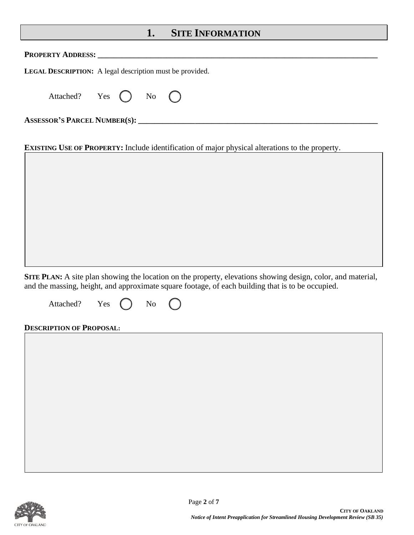### **1. SITE INFORMATION**

| <b>PROPERTY ADDRESS:</b>                                                                                                                                                                                                       |
|--------------------------------------------------------------------------------------------------------------------------------------------------------------------------------------------------------------------------------|
| <b>LEGAL DESCRIPTION:</b> A legal description must be provided.                                                                                                                                                                |
| Attached? Yes $\bigcap$ No $\bigcap$                                                                                                                                                                                           |
| ASSESSOR'S PARCEL NUMBER(S): University of the set of the set of the set of the set of the set of the set of the set of the set of the set of the set of the set of the set of the set of the set of the set of the set of the |
|                                                                                                                                                                                                                                |
| <b>EXISTING USE OF PROPERTY:</b> Include identification of major physical alterations to the property.                                                                                                                         |

**SITE PLAN:** A site plan showing the location on the property, elevations showing design, color, and material, and the massing, height, and approximate square footage, of each building that is to be occupied.

Attached? Yes () No

#### **DESCRIPTION OF PROPOSAL:**

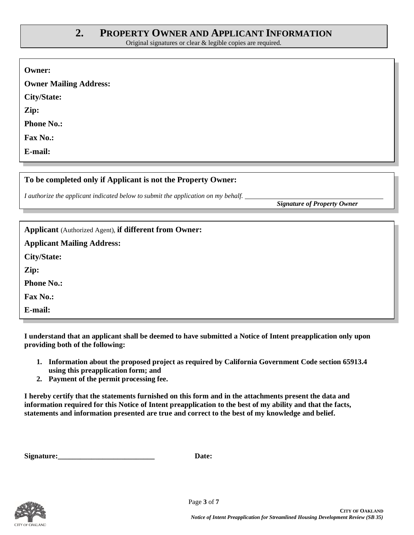## **2. PROPERTY OWNER AND APPLICANT INFORMATION**

Original signatures or clear & legible copies are required.

| <b>Owner:</b>                 |  |
|-------------------------------|--|
| <b>Owner Mailing Address:</b> |  |
| <b>City/State:</b>            |  |
| Zip:                          |  |
| <b>Phone No.:</b>             |  |
| Fax No.:                      |  |
| E-mail:                       |  |

#### **To be completed only if Applicant is not the Property Owner:**

*I authorize the applicant indicated below to submit the application on my behalf.* 

*Signature of Property Owner*

| <b>Applicant</b> (Authorized Agent), if different from Owner: |
|---------------------------------------------------------------|
| <b>Applicant Mailing Address:</b>                             |
| City/State:                                                   |
| Zip:                                                          |
| <b>Phone No.:</b>                                             |
| <b>Fax No.:</b>                                               |
| E-mail:                                                       |

**I understand that an applicant shall be deemed to have submitted a Notice of Intent preapplication only upon providing both of the following:**

- **1. Information about the proposed project as required by California Government Code section 65913.4 using this preapplication form; and**
- **2. Payment of the permit processing fee.**

**I hereby certify that the statements furnished on this form and in the attachments present the data and information required for this Notice of Intent preapplication to the best of my ability and that the facts, statements and information presented are true and correct to the best of my knowledge and belief.** 

| Signature: | <b>Date:</b> |
|------------|--------------|
|            |              |

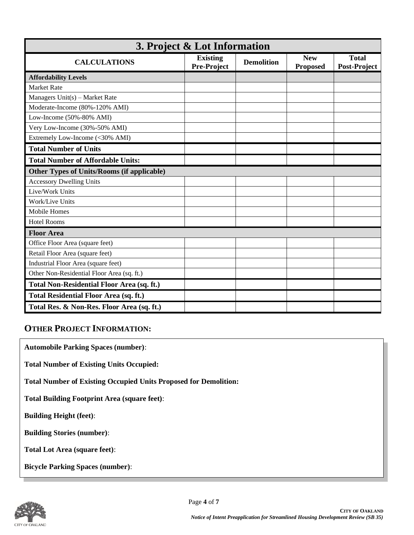| 3. Project & Lot Information                      |                                |                   |                               |                              |  |  |
|---------------------------------------------------|--------------------------------|-------------------|-------------------------------|------------------------------|--|--|
| <b>CALCULATIONS</b>                               | <b>Existing</b><br>Pre-Project | <b>Demolition</b> | <b>New</b><br><b>Proposed</b> | <b>Total</b><br>Post-Project |  |  |
| <b>Affordability Levels</b>                       |                                |                   |                               |                              |  |  |
| <b>Market Rate</b>                                |                                |                   |                               |                              |  |  |
| Managers $Unit(s)$ – Market Rate                  |                                |                   |                               |                              |  |  |
| Moderate-Income (80%-120% AMI)                    |                                |                   |                               |                              |  |  |
| Low-Income (50%-80% AMI)                          |                                |                   |                               |                              |  |  |
| Very Low-Income (30%-50% AMI)                     |                                |                   |                               |                              |  |  |
| Extremely Low-Income (<30% AMI)                   |                                |                   |                               |                              |  |  |
| <b>Total Number of Units</b>                      |                                |                   |                               |                              |  |  |
| <b>Total Number of Affordable Units:</b>          |                                |                   |                               |                              |  |  |
| <b>Other Types of Units/Rooms (if applicable)</b> |                                |                   |                               |                              |  |  |
| <b>Accessory Dwelling Units</b>                   |                                |                   |                               |                              |  |  |
| Live/Work Units                                   |                                |                   |                               |                              |  |  |
| Work/Live Units                                   |                                |                   |                               |                              |  |  |
| Mobile Homes                                      |                                |                   |                               |                              |  |  |
| <b>Hotel Rooms</b>                                |                                |                   |                               |                              |  |  |
| <b>Floor Area</b>                                 |                                |                   |                               |                              |  |  |
| Office Floor Area (square feet)                   |                                |                   |                               |                              |  |  |
| Retail Floor Area (square feet)                   |                                |                   |                               |                              |  |  |
| Industrial Floor Area (square feet)               |                                |                   |                               |                              |  |  |
| Other Non-Residential Floor Area (sq. ft.)        |                                |                   |                               |                              |  |  |
| <b>Total Non-Residential Floor Area (sq. ft.)</b> |                                |                   |                               |                              |  |  |
| <b>Total Residential Floor Area (sq. ft.)</b>     |                                |                   |                               |                              |  |  |
| Total Res. & Non-Res. Floor Area (sq. ft.)        |                                |                   |                               |                              |  |  |

### **OTHER PROJECT INFORMATION:**

**Automobile Parking Spaces (number)**:

**Total Number of Existing Units Occupied:** 

**Total Number of Existing Occupied Units Proposed for Demolition:** 

**Total Building Footprint Area (square feet)**:

**Building Height (feet)**:

**Building Stories (number)**:

**Total Lot Area (square feet)**:

**Bicycle Parking Spaces (number)**:

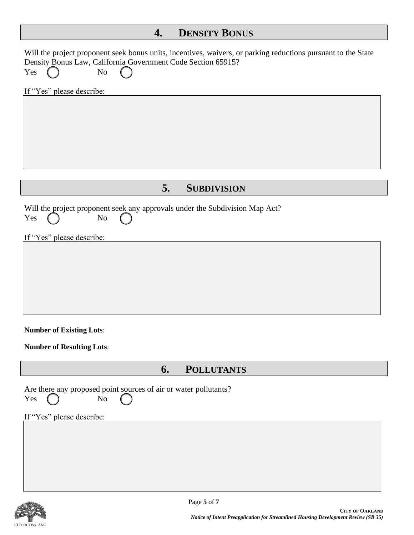# **4. DENSITY BONUS**

| Will the project proponent seek bonus units, incentives, waivers, or parking reductions pursuant to the State<br>Density Bonus Law, California Government Code Section 65915?<br>Yes<br>No |
|--------------------------------------------------------------------------------------------------------------------------------------------------------------------------------------------|
| If "Yes" please describe:                                                                                                                                                                  |
|                                                                                                                                                                                            |
| 5.<br><b>SUBDIVISION</b>                                                                                                                                                                   |
| Will the project proponent seek any approvals under the Subdivision Map Act?<br>No<br>Yes                                                                                                  |
| If "Yes" please describe:                                                                                                                                                                  |
|                                                                                                                                                                                            |
|                                                                                                                                                                                            |
|                                                                                                                                                                                            |
|                                                                                                                                                                                            |
| <b>Number of Existing Lots:</b>                                                                                                                                                            |
| <b>Number of Resulting Lots:</b>                                                                                                                                                           |
| <b>POLLUTANTS</b><br>6.                                                                                                                                                                    |
| Are there any proposed point sources of air or water pollutants?<br>No<br>Yes                                                                                                              |
| If "Yes" please describe:                                                                                                                                                                  |
|                                                                                                                                                                                            |
|                                                                                                                                                                                            |
|                                                                                                                                                                                            |
|                                                                                                                                                                                            |

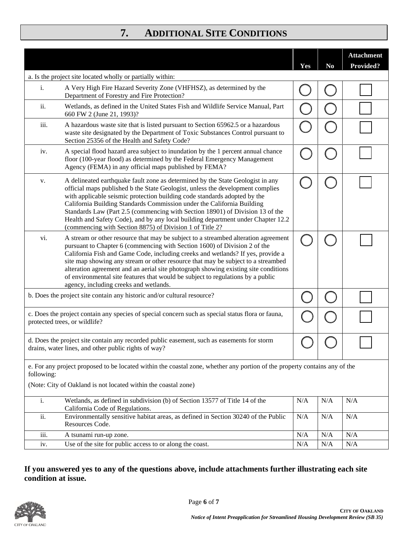## **7. ADDITIONAL SITE CONDITIONS**

|                                                                                                                                                                                                            |                                                                                                                                                                                                                                                                                                                                                                                                                                                                                                                                                            | Yes | N <sub>0</sub> | <b>Attachment</b><br><b>Provided?</b> |  |
|------------------------------------------------------------------------------------------------------------------------------------------------------------------------------------------------------------|------------------------------------------------------------------------------------------------------------------------------------------------------------------------------------------------------------------------------------------------------------------------------------------------------------------------------------------------------------------------------------------------------------------------------------------------------------------------------------------------------------------------------------------------------------|-----|----------------|---------------------------------------|--|
|                                                                                                                                                                                                            | a. Is the project site located wholly or partially within:                                                                                                                                                                                                                                                                                                                                                                                                                                                                                                 |     |                |                                       |  |
| i.                                                                                                                                                                                                         | A Very High Fire Hazard Severity Zone (VHFHSZ), as determined by the<br>Department of Forestry and Fire Protection?                                                                                                                                                                                                                                                                                                                                                                                                                                        |     |                |                                       |  |
| ii.                                                                                                                                                                                                        | Wetlands, as defined in the United States Fish and Wildlife Service Manual, Part<br>660 FW 2 (June 21, 1993)?                                                                                                                                                                                                                                                                                                                                                                                                                                              |     |                |                                       |  |
| iii.                                                                                                                                                                                                       | A hazardous waste site that is listed pursuant to Section 65962.5 or a hazardous<br>waste site designated by the Department of Toxic Substances Control pursuant to<br>Section 25356 of the Health and Safety Code?                                                                                                                                                                                                                                                                                                                                        |     |                |                                       |  |
| iv.                                                                                                                                                                                                        | A special flood hazard area subject to inundation by the 1 percent annual chance<br>floor (100-year flood) as determined by the Federal Emergency Management<br>Agency (FEMA) in any official maps published by FEMA?                                                                                                                                                                                                                                                                                                                                      |     |                |                                       |  |
| v.                                                                                                                                                                                                         | A delineated earthquake fault zone as determined by the State Geologist in any<br>official maps published b the State Geologist, unless the development complies<br>with applicable seismic protection building code standards adopted by the<br>California Building Standards Commission under the California Building<br>Standards Law (Part 2.5 (commencing with Section 18901) of Division 13 of the<br>Health and Safety Code), and by any local building department under Chapter 12.2<br>(commencing with Section 8875) of Division 1 of Title 2?   |     |                |                                       |  |
| vi.                                                                                                                                                                                                        | A stream or other resource that may be subject to a streambed alteration agreement<br>pursuant to Chapter 6 (commencing with Section 1600) of Division 2 of the<br>California Fish and Game Code, including creeks and wetlands? If yes, provide a<br>site map showing any stream or other resource that may be subject to a streambed<br>alteration agreement and an aerial site photograph showing existing site conditions<br>of environmental site features that would be subject to regulations by a public<br>agency, including creeks and wetlands. |     |                |                                       |  |
|                                                                                                                                                                                                            | b. Does the project site contain any historic and/or cultural resource?                                                                                                                                                                                                                                                                                                                                                                                                                                                                                    |     |                |                                       |  |
| c. Does the project contain any species of special concern such as special status flora or fauna,<br>protected trees, or wildlife?                                                                         |                                                                                                                                                                                                                                                                                                                                                                                                                                                                                                                                                            |     |                |                                       |  |
| d. Does the project site contain any recorded public easement, such as easements for storm<br>drains, water lines, and other public rights of way?                                                         |                                                                                                                                                                                                                                                                                                                                                                                                                                                                                                                                                            |     |                |                                       |  |
| e. For any project proposed to be located within the coastal zone, whether any portion of the property contains any of the<br>following:<br>(Note: City of Oakland is not located within the coastal zone) |                                                                                                                                                                                                                                                                                                                                                                                                                                                                                                                                                            |     |                |                                       |  |
|                                                                                                                                                                                                            |                                                                                                                                                                                                                                                                                                                                                                                                                                                                                                                                                            |     |                |                                       |  |
| i.                                                                                                                                                                                                         | Wetlands, as defined in subdivision (b) of Section 13577 of Title 14 of the<br>California Code of Regulations.                                                                                                                                                                                                                                                                                                                                                                                                                                             | N/A | N/A            | N/A                                   |  |
| ii.                                                                                                                                                                                                        | Environmentally sensitive habitat areas, as defined in Section 30240 of the Public<br>Resources Code.                                                                                                                                                                                                                                                                                                                                                                                                                                                      | N/A | N/A            | N/A                                   |  |
| $\overline{\text{iii}}$ .                                                                                                                                                                                  | A tsunami run-up zone.                                                                                                                                                                                                                                                                                                                                                                                                                                                                                                                                     | N/A | N/A            | $\rm N/A$                             |  |
| iv.                                                                                                                                                                                                        | Use of the site for public access to or along the coast.                                                                                                                                                                                                                                                                                                                                                                                                                                                                                                   | N/A | N/A            | N/A                                   |  |

#### **If you answered yes to any of the questions above, include attachments further illustrating each site condition at issue.**